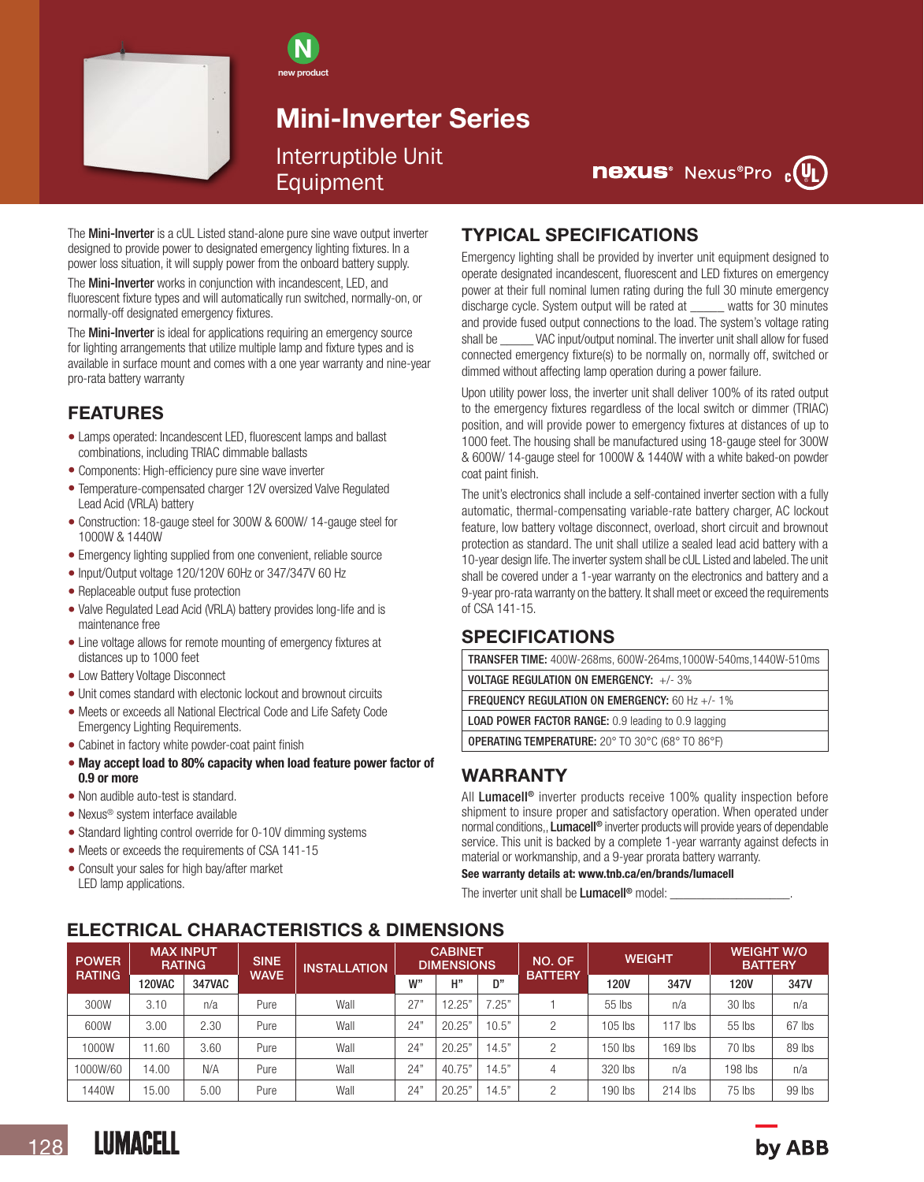

N new product

# Mini-Inverter Series Interruptible Unit Equipment

**nexus**<sup>*Nexus*<sup>*e*</sup>Pro <sub>c</sub>(V<sub>L</sub>)</sup>

The **Mini-Inverter** is a cUL Listed stand-alone pure sine wave output inverter designed to provide power to designated emergency lighting fixtures. In a power loss situation, it will supply power from the onboard battery supply.

The Mini-Inverter works in conjunction with incandescent, LED, and fluorescent fixture types and will automatically run switched, normally-on, or normally-off designated emergency fixtures.

The **Mini-Inverter** is ideal for applications requiring an emergency source for lighting arrangements that utilize multiple lamp and fixture types and is available in surface mount and comes with a one year warranty and nine-year pro-rata battery warranty

### FEATURES

- Lamps operated: Incandescent LED, fluorescent lamps and ballast combinations, including TRIAC dimmable ballasts
- Components: High-efficiency pure sine wave inverter
- Temperature-compensated charger 12V oversized Valve Regulated Lead Acid (VRLA) battery
- Construction: 18-gauge steel for 300W & 600W/ 14-gauge steel for 1000W & 1440W
- Emergency lighting supplied from one convenient, reliable source
- Input/Output voltage 120/120V 60Hz or 347/347V 60 Hz
- Replaceable output fuse protection
- Valve Regulated Lead Acid (VRLA) battery provides long-life and is maintenance free
- Line voltage allows for remote mounting of emergency fixtures at distances up to 1000 feet
- Low Battery Voltage Disconnect
- Unit comes standard with electonic lockout and brownout circuits
- Meets or exceeds all National Electrical Code and Life Safety Code Emergency Lighting Requirements.
- Cabinet in factory white powder-coat paint finish
- May accept load to 80% capacity when load feature power factor of 0.9 or more
- Non audible auto-test is standard.
- Nexus® system interface available
- Standard lighting control override for 0-10V dimming systems
- Meets or exceeds the requirements of CSA 141-15
- Consult your sales for high bay/after market LED lamp applications.

### TYPICAL SPECIFICATIONS

Emergency lighting shall be provided by inverter unit equipment designed to operate designated incandescent, fluorescent and LED fixtures on emergency power at their full nominal lumen rating during the full 30 minute emergency discharge cycle. System output will be rated at \_\_\_\_\_ watts for 30 minutes and provide fused output connections to the load. The system's voltage rating shall be **WAC** input/output nominal. The inverter unit shall allow for fused connected emergency fixture(s) to be normally on, normally off, switched or dimmed without affecting lamp operation during a power failure.

Upon utility power loss, the inverter unit shall deliver 100% of its rated output to the emergency fixtures regardless of the local switch or dimmer (TRIAC) position, and will provide power to emergency fixtures at distances of up to 1000 feet. The housing shall be manufactured using 18-gauge steel for 300W & 600W/ 14-gauge steel for 1000W & 1440W with a white baked-on powder coat paint finish.

The unit's electronics shall include a self-contained inverter section with a fully automatic, thermal-compensating variable-rate battery charger, AC lockout feature, low battery voltage disconnect, overload, short circuit and brownout protection as standard. The unit shall utilize a sealed lead acid battery with a 10-year design life. The inverter system shall be cUL Listed and labeled. The unit shall be covered under a 1-year warranty on the electronics and battery and a 9-year pro-rata warranty on the battery. It shall meet or exceed the requirements of CSA 141-15.

### SPECIFICATIONS

TRANSFER TIME: 400W-268ms, 600W-264ms,1000W-540ms,1440W-510ms

VOLTAGE REGULATION ON EMERGENCY: +/- 3%

FREQUENCY REGULATION ON EMERGENCY: 60 Hz +/- 1%

LOAD POWER FACTOR RANGE: 0.9 leading to 0.9 lagging

OPERATING TEMPERATURE: 20° TO 30°C (68° TO 86°F)

## WARRANTY

All Lumacell<sup>®</sup> inverter products receive 100% quality inspection before shipment to insure proper and satisfactory operation. When operated under normal conditions,, Lumacell<sup>®</sup> inverter products will provide years of dependable service. This unit is backed by a complete 1-year warranty against defects in material or workmanship, and a 9-year prorata battery warranty.

See warranty details at: www.tnb.ca/en/brands/lumacell

The inverter unit shall be Lumacell<sup>®</sup> model:

## ELECTRICAL CHARACTERISTICS & DIMENSIONS

| <b>POWER</b>  | <b>MAX INPUT</b><br><b>RATING</b> |               | <b>SINE</b> | <b>INSTALLATION</b> | <b>CABINET</b><br><b>DIMENSIONS</b> |        |       | NO. OF         | <b>WEIGHT</b> |           | <b>WEIGHT W/O</b><br><b>BATTERY</b> |        |
|---------------|-----------------------------------|---------------|-------------|---------------------|-------------------------------------|--------|-------|----------------|---------------|-----------|-------------------------------------|--------|
| <b>RATING</b> | <b>120VAC</b>                     | <b>347VAC</b> | <b>WAVE</b> |                     | w"                                  | н"     | D"    | <b>BATTERY</b> | 120V          | 347V      | <b>120V</b>                         | 347V   |
| 300W          | 3.10                              | n/a           | Pure        | Wall                | 27"                                 | 12.25" | 7.25" |                | 55 lbs        | n/a       | 30 lbs                              | n/a    |
| 600W          | 3.00                              | 2.30          | Pure        | Wall                | 24"                                 | 20.25" | 10.5" | ∩              | 105 lbs       | $117$ lbs | $55$ lbs                            | 67 lbs |
| 1000W         | 1.60                              | 3.60          | Pure        | Wall                | 24"                                 | 20.25" | 14.5" | $\Omega$       | $150$ lbs     | 169 lbs   | 70 lbs                              | 89 lbs |
| 1000W/60      | 14.00                             | N/A           | Pure        | Wall                | 24"                                 | 40.75" | 14.5" |                | 320 lbs       | n/a       | 198 lbs                             | n/a    |
| 1440W         | 15.00                             | 5.00          | Pure        | Wall                | 24'                                 | 20.25" | 14.5" | $\Omega$       | $190$ lbs     | $214$ lbs | $75$ lbs                            | 99 lbs |